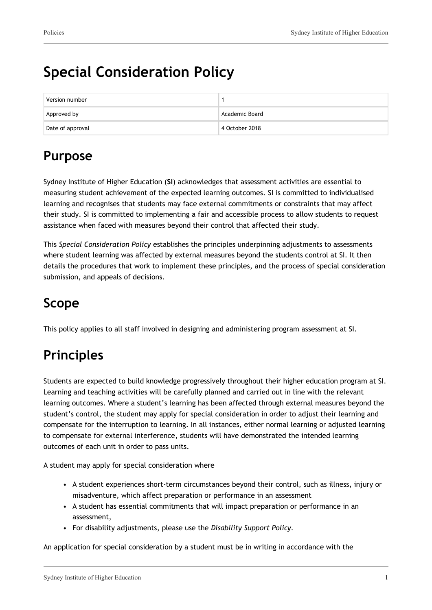# **Special Consideration Policy**

| Version number   |                |
|------------------|----------------|
| Approved by      | Academic Board |
| Date of approval | 4 October 2018 |

# **Purpose**

Sydney Institute of Higher Education (**SI**) acknowledges that assessment activities are essential to measuring student achievement of the expected learning outcomes. SI is committed to individualised learning and recognises that students may face external commitments or constraints that may affect their study. SI is committed to implementing a fair and accessible process to allow students to request assistance when faced with measures beyond their control that affected their study.

This *Special Consideration Policy* establishes the principles underpinning adjustments to assessments where student learning was affected by external measures beyond the students control at SI. It then details the procedures that work to implement these principles, and the process of special consideration submission, and appeals of decisions.

# **Scope**

This policy applies to all staff involved in designing and administering program assessment at SI.

# **Principles**

Students are expected to build knowledge progressively throughout their higher education program at SI. Learning and teaching activities will be carefully planned and carried out in line with the relevant learning outcomes. Where a student's learning has been affected through external measures beyond the student's control, the student may apply for special consideration in order to adjust their learning and compensate for the interruption to learning. In all instances, either normal learning or adjusted learning to compensate for external interference, students will have demonstrated the intended learning outcomes of each unit in order to pass units.

A student may apply for special consideration where

- A student experiences short-term circumstances beyond their control, such as illness, injury or misadventure, which affect preparation or performance in an assessment
- A student has essential commitments that will impact preparation or performance in an assessment,
- For disability adjustments, please use the *Disability Support Policy.*

An application for special consideration by a student must be in writing in accordance with the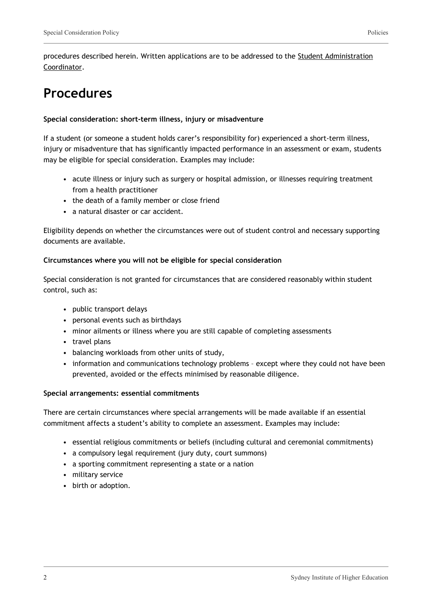procedures described herein. Written applications are to be addressed to the Student Administration Coordinator.

# **Procedures**

#### **Special consideration: short-term illness, injury or misadventure**

If a student (or someone a student holds carer's responsibility for) experienced a short-term illness, injury or misadventure that has significantly impacted performance in an assessment or exam, students may be eligible for special consideration. Examples may include:

- acute illness or injury such as surgery or hospital admission, or illnesses requiring treatment from a health practitioner
- the death of a family member or close friend
- a natural disaster or car accident.

Eligibility depends on whether the circumstances were out of student control and necessary supporting documents are available.

#### **Circumstances where you will not be eligible for special consideration**

Special consideration is not granted for circumstances that are considered reasonably within student control, such as:

- public transport delays
- personal events such as birthdays
- minor ailments or illness where you are still capable of completing assessments
- travel plans
- balancing workloads from other units of study,
- information and communications technology problems except where they could not have been prevented, avoided or the effects minimised by reasonable diligence.

#### **Special arrangements: essential commitments**

There are certain circumstances where special arrangements will be made available if an essential commitment affects a student's ability to complete an assessment. Examples may include:

- essential religious commitments or beliefs (including cultural and ceremonial commitments)
- a compulsory legal requirement (jury duty, court summons)
- a sporting commitment representing a state or a nation
- military service
- birth or adoption.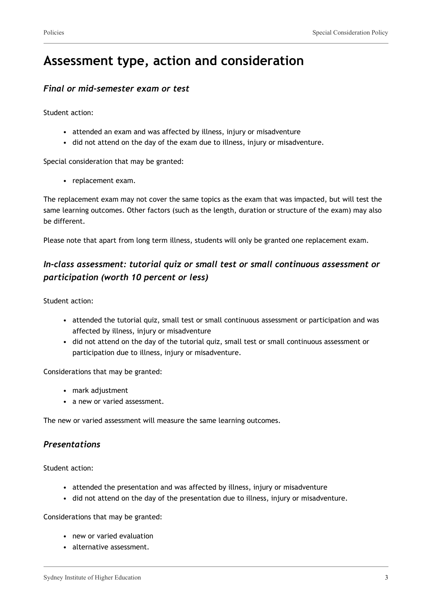# **Assessment type, action and consideration**

### *Final or mid-semester exam or test*

Student action:

- attended an exam and was affected by illness, injury or misadventure
- did not attend on the day of the exam due to illness, injury or misadventure.

Special consideration that may be granted:

• replacement exam.

The replacement exam may not cover the same topics as the exam that was impacted, but will test the same learning outcomes. Other factors (such as the length, duration or structure of the exam) may also be different.

Please note that apart from long term illness, students will only be granted one replacement exam.

### *In-class assessment: tutorial quiz or small test or small continuous assessment or participation (worth 10 percent or less)*

Student action:

- attended the tutorial quiz, small test or small continuous assessment or participation and was affected by illness, injury or misadventure
- did not attend on the day of the tutorial quiz, small test or small continuous assessment or participation due to illness, injury or misadventure.

Considerations that may be granted:

- mark adjustment
- a new or varied assessment.

The new or varied assessment will measure the same learning outcomes.

### *Presentations*

Student action:

- attended the presentation and was affected by illness, injury or misadventure
- did not attend on the day of the presentation due to illness, injury or misadventure.

Considerations that may be granted:

- new or varied evaluation
- alternative assessment.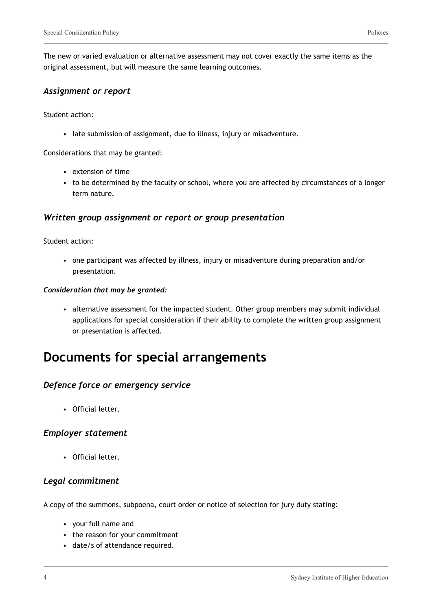The new or varied evaluation or alternative assessment may not cover exactly the same items as the original assessment, but will measure the same learning outcomes.

#### *Assignment or report*

Student action:

• late submission of assignment, due to illness, injury or misadventure.

Considerations that may be granted:

- extension of time
- to be determined by the faculty or school, where you are affected by circumstances of a longer term nature.

#### *Written group assignment or report or group presentation*

Student action:

• one participant was affected by illness, injury or misadventure during preparation and/or presentation.

#### *Consideration that may be granted:*

• alternative assessment for the impacted student. Other group members may submit individual applications for special consideration if their ability to complete the written group assignment or presentation is affected.

## **Documents for special arrangements**

### *Defence force or emergency service*

• Official letter.

#### *Employer statement*

• Official letter.

### *Legal commitment*

A copy of the summons, subpoena, court order or notice of selection for jury duty stating:

- your full name and
- the reason for your commitment
- date/s of attendance required.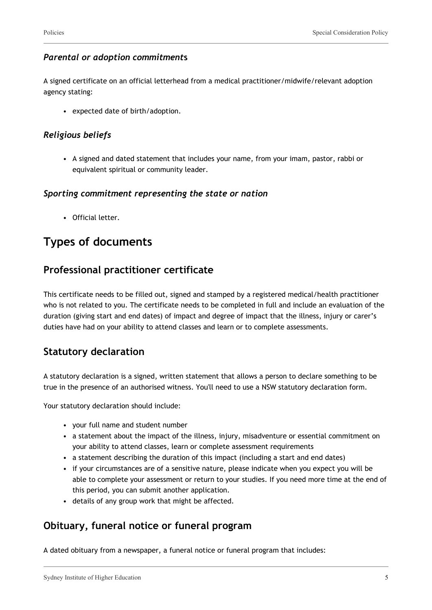### *Parental or adoption commitment***s**

A signed certificate on an official letterhead from a medical practitioner/midwife/relevant adoption agency stating:

• expected date of birth/adoption.

### *Religious beliefs*

• A signed and dated statement that includes your name, from your imam, pastor, rabbi or equivalent spiritual or community leader.

### *Sporting commitment representing the state or nation*

• Official letter.

## **Types of documents**

### **Professional practitioner certificate**

This certificate needs to be filled out, signed and stamped by a registered medical/health practitioner who is not related to you. The certificate needs to be completed in full and include an evaluation of the duration (giving start and end dates) of impact and degree of impact that the illness, injury or carer's duties have had on your ability to attend classes and learn or to complete assessments.

### **Statutory declaration**

A statutory declaration is a signed, written statement that allows a person to declare something to be true in the presence of an authorised witness. You'll need to use a NSW statutory declaration form.

Your statutory declaration should include:

- your full name and student number
- a statement about the impact of the illness, injury, misadventure or essential commitment on your ability to attend classes, learn or complete assessment requirements
- a statement describing the duration of this impact (including a start and end dates)
- if your circumstances are of a sensitive nature, please indicate when you expect you will be able to complete your assessment or return to your studies. If you need more time at the end of this period, you can submit another application.
- details of any group work that might be affected.

### **Obituary, funeral notice or funeral program**

A dated obituary from a newspaper, a funeral notice or funeral program that includes: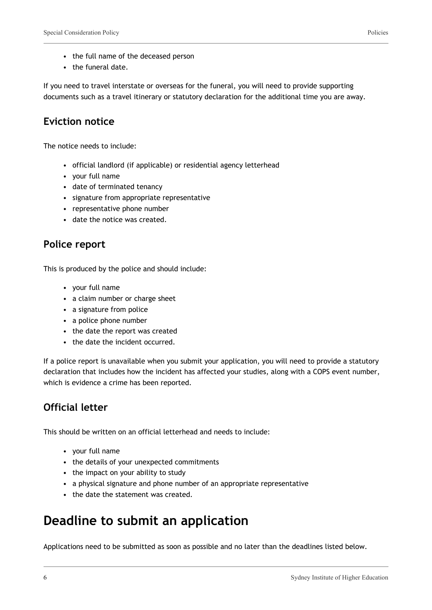- the full name of the deceased person
- the funeral date.

If you need to travel interstate or overseas for the funeral, you will need to provide supporting documents such as a travel itinerary or statutory declaration for the additional time you are away.

### **Eviction notice**

The notice needs to include:

- official landlord (if applicable) or residential agency letterhead
- your full name
- date of terminated tenancy
- signature from appropriate representative
- representative phone number
- date the notice was created.

### **Police report**

This is produced by the police and should include:

- your full name
- a claim number or charge sheet
- a signature from police
- a police phone number
- the date the report was created
- the date the incident occurred.

If a police report is unavailable when you submit your application, you will need to provide a statutory declaration that includes how the incident has affected your studies, along with a COPS event number, which is evidence a crime has been reported.

### **Official letter**

This should be written on an official letterhead and needs to include:

- your full name
- the details of your unexpected commitments
- the impact on your ability to study
- a physical signature and phone number of an appropriate representative
- the date the statement was created.

## **Deadline to submit an application**

Applications need to be submitted as soon as possible and no later than the deadlines listed below.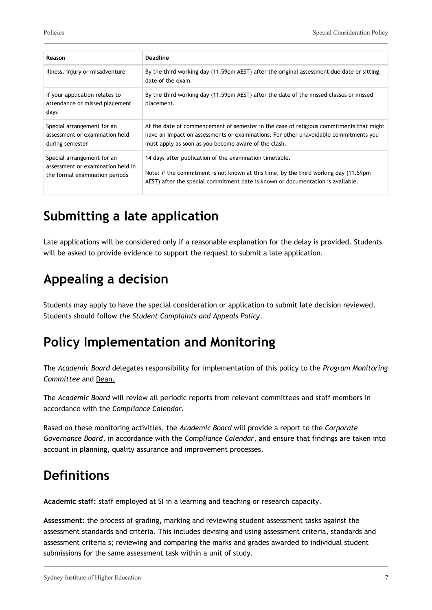| Reason                                                                                            | Deadline                                                                                                                                                                                                                                |
|---------------------------------------------------------------------------------------------------|-----------------------------------------------------------------------------------------------------------------------------------------------------------------------------------------------------------------------------------------|
| Illness, injury or misadventure                                                                   | By the third working day (11.59pm AEST) after the original assessment due date or sitting<br>date of the exam.                                                                                                                          |
| If your application relates to<br>attendance or missed placement<br>days                          | By the third working day (11.59pm AEST) after the date of the missed classes or missed<br>placement.                                                                                                                                    |
| Special arrangement for an<br>assessment or examination held<br>during semester                   | At the date of commencement of semester in the case of religious commitments that might<br>have an impact on assessments or examinations. For other unavoidable commitments you<br>must apply as soon as you become aware of the clash. |
| Special arrangement for an<br>assessment or examination held in<br>the formal examination periods | 14 days after publication of the examination timetable.<br>Note: if the commitment is not known at this time, by the third working day (11.59pm<br>AEST) after the special commitment date is known or documentation is available.      |

# **Submitting a late application**

Late applications will be considered only if a reasonable explanation for the delay is provided. Students will be asked to provide evidence to support the request to submit a late application.

# **Appealing a decision**

Students may apply to have the special consideration or application to submit late decision reviewed. Students should follow *the Student Complaints and Appeals Policy*.

# **Policy Implementation and Monitoring**

The *Academic Board* delegates responsibility for implementation of this policy to the *Program Monitoring Committee* and Dean.

The *Academic Board* will review all periodic reports from relevant committees and staff members in accordance with the *Compliance Calendar.*

Based on these monitoring activities, the *Academic Board* will provide a report to the *Corporate Governance Board*, in accordance with the *Compliance Calendar*, and ensure that findings are taken into account in planning, quality assurance and improvement processes.

# **Definitions**

**Academic staff:** staff employed at SI in a learning and teaching or research capacity.

**Assessment:** the process of grading, marking and reviewing student assessment tasks against the assessment standards and criteria. This includes devising and using assessment criteria, standards and assessment criteria s; reviewing and comparing the marks and grades awarded to individual student submissions for the same assessment task within a unit of study.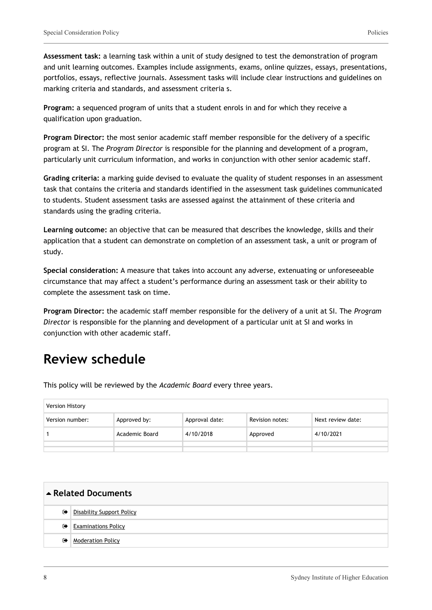**Assessment task:** a learning task within a unit of study designed to test the demonstration of program and unit learning outcomes. Examples include assignments, exams, online quizzes, essays, presentations, portfolios, essays, reflective journals. Assessment tasks will include clear instructions and guidelines on marking criteria and standards, and assessment criteria s.

**Program:** a sequenced program of units that a student enrols in and for which they receive a qualification upon graduation.

**Program Director:** the most senior academic staff member responsible for the delivery of a specific program at SI. The *Program Director* is responsible for the planning and development of a program, particularly unit curriculum information, and works in conjunction with other senior academic staff.

**Grading criteria:** a marking guide devised to evaluate the quality of student responses in an assessment task that contains the criteria and standards identified in the assessment task guidelines communicated to students. Student assessment tasks are assessed against the attainment of these criteria and standards using the grading criteria.

**Learning outcome:** an objective that can be measured that describes the knowledge, skills and their application that a student can demonstrate on completion of an assessment task, a unit or program of study.

**Special consideration:** A measure that takes into account any adverse, extenuating or unforeseeable circumstance that may affect a student's performance during an assessment task or their ability to complete the assessment task on time.

**Program Director:** the academic staff member responsible for the delivery of a unit at SI. The *Program Director* is responsible for the planning and development of a particular unit at SI and works in conjunction with other academic staff.

## **Review schedule**

This policy will be reviewed by the *Academic Board* every three years.

| Version History |                |                |                 |                   |
|-----------------|----------------|----------------|-----------------|-------------------|
| Version number: | Approved by:   | Approval date: | Revision notes: | Next review date: |
|                 | Academic Board | 4/10/2018      | Approved        | 4/10/2021         |
|                 |                |                |                 |                   |
|                 |                |                |                 |                   |

| ▲ Related Documents |                                  |  |
|---------------------|----------------------------------|--|
| $\bullet$           | <b>Disability Support Policy</b> |  |
| $\bullet$           | <b>Examinations Policy</b>       |  |
| $\bullet$           | <b>Moderation Policy</b>         |  |